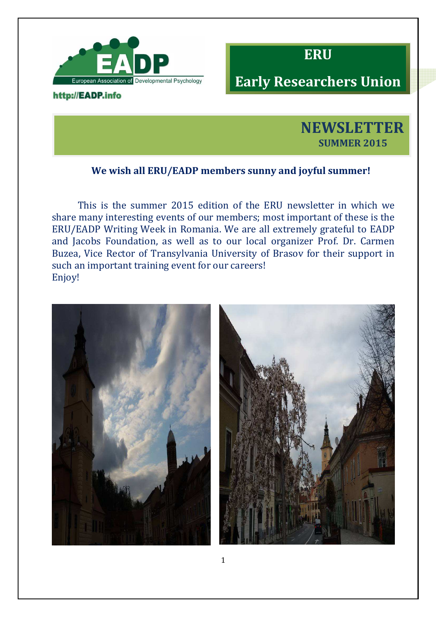

## http://EADP.info



# **Early Researchers Union**



## **We wish all ERU/EADP members sunny and joyful summer!**

This is the summer 2015 edition of the ERU newsletter in which we share many interesting events of our members; most important of these is the ERU/EADP Writing Week in Romania. We are all extremely grateful to EADP and Jacobs Foundation, as well as to our local organizer Prof. Dr. Carmen Buzea, Vice Rector of Transylvania University of Brasov for their support in such an important training event for our careers! Enjoy!

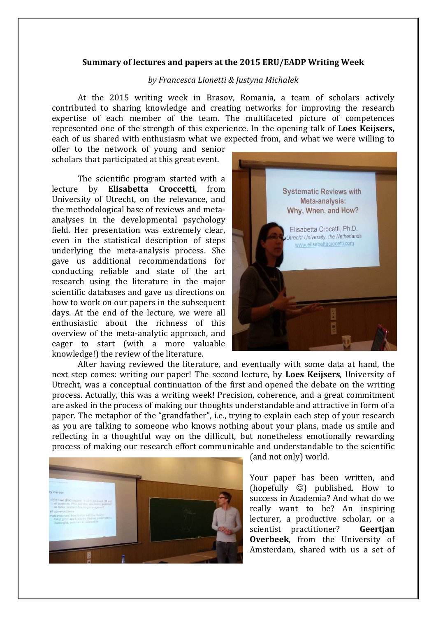#### **Summary of lectures and papers at the 2015 ERU/EADP Writing Week**

#### *by Francesca Lionetti & Justyna Michałek*

At the 2015 writing week in Brasov, Romania, a team of scholars actively contributed to sharing knowledge and creating networks for improving the research expertise of each member of the team. The multifaceted picture of competences represented one of the strength of this experience. In the opening talk of **Loes Keijsers,**  each of us shared with enthusiasm what we expected from, and what we were willing to

offer to the network of young and senior scholars that participated at this great event.

The scientific program started with a lecture by **Elisabetta Croccetti**, from University of Utrecht, on the relevance, and the methodological base of reviews and metaanalyses in the developmental psychology field. Her presentation was extremely clear, even in the statistical description of steps underlying the meta-analysis process. She gave us additional recommendations for conducting reliable and state of the art research using the literature in the major scientific databases and gave us directions on how to work on our papers in the subsequent days. At the end of the lecture, we were all enthusiastic about the richness of this overview of the meta-analytic approach, and eager to start (with a more valuable knowledge!) the review of the literature.



After having reviewed the literature, and eventually with some data at hand, the next step comes: writing our paper! The second lecture, by **Loes Keijsers**, University of Utrecht, was a conceptual continuation of the first and opened the debate on the writing process. Actually, this was a writing week! Precision, coherence, and a great commitment are asked in the process of making our thoughts understandable and attractive in form of a paper. The metaphor of the "grandfather", i.e., trying to explain each step of your research as you are talking to someone who knows nothing about your plans, made us smile and reflecting in a thoughtful way on the difficult, but nonetheless emotionally rewarding process of making our research effort communicable and understandable to the scientific



(and not only) world.

Your paper has been written, and (hopefully  $\circledcirc$ ) published. How to success in Academia? And what do we really want to be? An inspiring lecturer, a productive scholar, or a scientist practitioner? **Geertjan Overbeek**, from the University of Amsterdam, shared with us a set of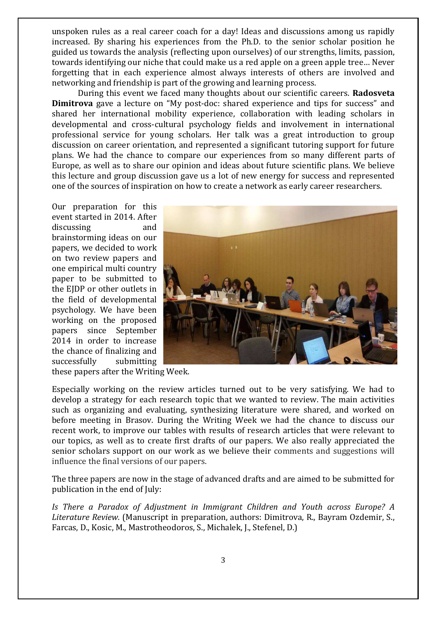unspoken rules as a real career coach for a day! Ideas and discussions among us rapidly increased. By sharing his experiences from the Ph.D. to the senior scholar position he guided us towards the analysis (reflecting upon ourselves) of our strengths, limits, passion, towards identifying our niche that could make us a red apple on a green apple tree… Never forgetting that in each experience almost always interests of others are involved and networking and friendship is part of the growing and learning process.

During this event we faced many thoughts about our scientific careers. **Radosveta Dimitrova** gave a lecture on "My post-doc: shared experience and tips for success" and shared her international mobility experience, collaboration with leading scholars in developmental and cross-cultural psychology fields and involvement in international professional service for young scholars. Her talk was a great introduction to group discussion on career orientation, and represented a significant tutoring support for future plans. We had the chance to compare our experiences from so many different parts of Europe, as well as to share our opinion and ideas about future scientific plans. We believe this lecture and group discussion gave us a lot of new energy for success and represented one of the sources of inspiration on how to create a network as early career researchers.

Our preparation for this event started in 2014. After discussing and brainstorming ideas on our papers, we decided to work on two review papers and one empirical multi country paper to be submitted to the EJDP or other outlets in the field of developmental psychology. We have been working on the proposed papers since September 2014 in order to increase the chance of finalizing and successfully submitting



these papers after the Writing Week.

Especially working on the review articles turned out to be very satisfying. We had to develop a strategy for each research topic that we wanted to review. The main activities such as organizing and evaluating, synthesizing literature were shared, and worked on before meeting in Brasov. During the Writing Week we had the chance to discuss our recent work, to improve our tables with results of research articles that were relevant to our topics, as well as to create first drafts of our papers. We also really appreciated the senior scholars support on our work as we believe their comments and suggestions will influence the final versions of our papers.

The three papers are now in the stage of advanced drafts and are aimed to be submitted for publication in the end of July:

*Is There a Paradox of Adjustment in Immigrant Children and Youth across Europe? A Literature Review.* (Manuscript in preparation, authors: Dimitrova, R., Bayram Ozdemir, S., Farcas, D., Kosic, M., Mastrotheodoros, S., Michalek, J., Stefenel, D.)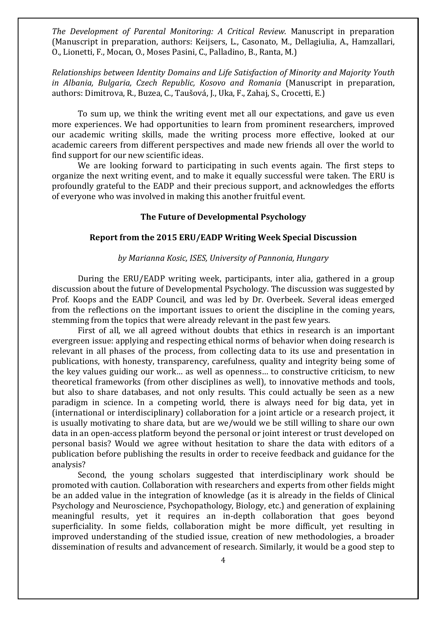*The Development of Parental Monitoring: A Critical Review*. Manuscript in preparation (Manuscript in preparation, authors: Keijsers, L., Casonato, M., Dellagiulia, A., Hamzallari, O., Lionetti, F., Mocan, O., Moses Pasini, C., Palladino, B., Ranta, M.)

*Relationships between Identity Domains and Life Satisfaction of Minority and Majority Youth in Albania, Bulgaria, Czech Republic, Kosovo and Romania* (Manuscript in preparation, authors: Dimitrova, R., Buzea, C., Taušová, J., Uka, F., Zahaj, S., Crocetti, E.)

To sum up, we think the writing event met all our expectations, and gave us even more experiences. We had opportunities to learn from prominent researchers, improved our academic writing skills, made the writing process more effective, looked at our academic careers from different perspectives and made new friends all over the world to find support for our new scientific ideas.

We are looking forward to participating in such events again. The first steps to organize the next writing event, and to make it equally successful were taken. The ERU is profoundly grateful to the EADP and their precious support, and acknowledges the efforts of everyone who was involved in making this another fruitful event.

### **The Future of Developmental Psychology**

#### **Report from the 2015 ERU/EADP Writing Week Special Discussion**

#### *by Marianna Kosic, ISES, University of Pannonia, Hungary*

During the ERU/EADP writing week, participants, inter alia, gathered in a group discussion about the future of Developmental Psychology. The discussion was suggested by Prof. Koops and the EADP Council, and was led by Dr. Overbeek. Several ideas emerged from the reflections on the important issues to orient the discipline in the coming years, stemming from the topics that were already relevant in the past few years.

First of all, we all agreed without doubts that ethics in research is an important evergreen issue: applying and respecting ethical norms of behavior when doing research is relevant in all phases of the process, from collecting data to its use and presentation in publications, with honesty, transparency, carefulness, quality and integrity being some of the key values guiding our work… as well as openness… to constructive criticism, to new theoretical frameworks (from other disciplines as well), to innovative methods and tools, but also to share databases, and not only results. This could actually be seen as a new paradigm in science. In a competing world, there is always need for big data, yet in (international or interdisciplinary) collaboration for a joint article or a research project, it is usually motivating to share data, but are we/would we be still willing to share our own data in an open-access platform beyond the personal or joint interest or trust developed on personal basis? Would we agree without hesitation to share the data with editors of a publication before publishing the results in order to receive feedback and guidance for the analysis?

Second, the young scholars suggested that interdisciplinary work should be promoted with caution. Collaboration with researchers and experts from other fields might be an added value in the integration of knowledge (as it is already in the fields of Clinical Psychology and Neuroscience, Psychopathology, Biology, etc.) and generation of explaining meaningful results, yet it requires an in-depth collaboration that goes beyond superficiality. In some fields, collaboration might be more difficult, yet resulting in improved understanding of the studied issue, creation of new methodologies, a broader dissemination of results and advancement of research. Similarly, it would be a good step to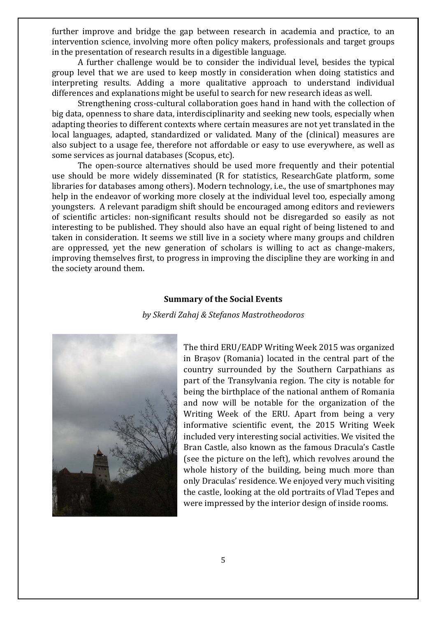further improve and bridge the gap between research in academia and practice, to an intervention science, involving more often policy makers, professionals and target groups in the presentation of research results in a digestible language.

A further challenge would be to consider the individual level, besides the typical group level that we are used to keep mostly in consideration when doing statistics and interpreting results. Adding a more qualitative approach to understand individual differences and explanations might be useful to search for new research ideas as well.

Strengthening cross-cultural collaboration goes hand in hand with the collection of big data, openness to share data, interdisciplinarity and seeking new tools, especially when adapting theories to different contexts where certain measures are not yet translated in the local languages, adapted, standardized or validated. Many of the (clinical) measures are also subject to a usage fee, therefore not affordable or easy to use everywhere, as well as some services as journal databases (Scopus, etc).

The open-source alternatives should be used more frequently and their potential use should be more widely disseminated (R for statistics, ResearchGate platform, some libraries for databases among others). Modern technology, i.e., the use of smartphones may help in the endeavor of working more closely at the individual level too, especially among youngsters. A relevant paradigm shift should be encouraged among editors and reviewers of scientific articles: non-significant results should not be disregarded so easily as not interesting to be published. They should also have an equal right of being listened to and taken in consideration. It seems we still live in a society where many groups and children are oppressed, yet the new generation of scholars is willing to act as change-makers, improving themselves first, to progress in improving the discipline they are working in and the society around them.

#### **Summary of the Social Events**

*by Skerdi Zahaj & Stefanos Mastrotheodoros*



The third ERU/EADP Writing Week 2015 was organized in Brașov (Romania) located in the central part of the country surrounded by the Southern Carpathians as part of the Transylvania region. The city is notable for being the birthplace of the national anthem of Romania and now will be notable for the organization of the Writing Week of the ERU. Apart from being a very informative scientific event, the 2015 Writing Week included very interesting social activities. We visited the Bran Castle, also known as the famous Dracula's Castle (see the picture on the left), which revolves around the whole history of the building, being much more than only Draculas' residence. We enjoyed very much visiting the castle, looking at the old portraits of Vlad Tepes and were impressed by the interior design of inside rooms.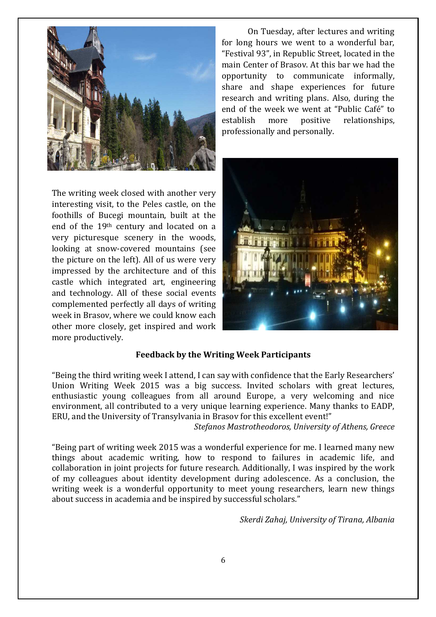

The writing week closed with another very interesting visit, to the Peles castle, on the foothills of Bucegi mountain, built at the end of the 19th century and located on a very picturesque scenery in the woods, looking at snow-covered mountains (see the picture on the left). All of us were very impressed by the architecture and of this castle which integrated art, engineering and technology. All of these social events complemented perfectly all days of writing week in Brasov, where we could know each other more closely, get inspired and work more productively.

On Tuesday, after lectures and writing for long hours we went to a wonderful bar, "Festival 93", in Republic Street, located in the main Center of Brasov. At this bar we had the opportunity to communicate informally, share and shape experiences for future research and writing plans. Also, during the end of the week we went at "Public Café" to establish more positive relationships, professionally and personally.



## **Feedback by the Writing Week Participants**

"Being the third writing week I attend, I can say with confidence that the Early Researchers' Union Writing Week 2015 was a big success. Invited scholars with great lectures, enthusiastic young colleagues from all around Europe, a very welcoming and nice environment, all contributed to a very unique learning experience. Many thanks to EADP, ERU, and the University of Transylvania in Brasov for this excellent event!"

*Stefanos Mastrotheodoros, University of Athens, Greece* 

"Being part of writing week 2015 was a wonderful experience for me. I learned many new things about academic writing, how to respond to failures in academic life, and collaboration in joint projects for future research. Additionally, I was inspired by the work of my colleagues about identity development during adolescence. As a conclusion, the writing week is a wonderful opportunity to meet young researchers, learn new things about success in academia and be inspired by successful scholars."

*Skerdi Zahaj, University of Tirana, Albania*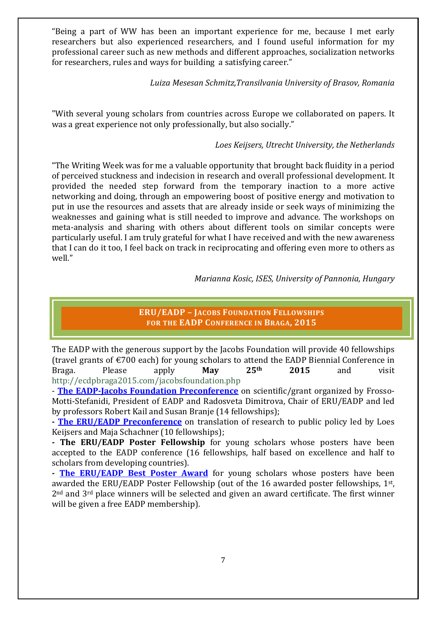"Being a part of WW has been an important experience for me, because I met early researchers but also experienced researchers, and I found useful information for my professional career such as new methods and different approaches, socialization networks for researchers, rules and ways for building a satisfying career."

## *Luiza Mesesan Schmitz,Transilvania University of Brasov, Romania*

"With several young scholars from countries across Europe we collaborated on papers. It was a great experience not only professionally, but also socially."

## *Loes Keijsers, Utrecht University, the Netherlands*

"The Writing Week was for me a valuable opportunity that brought back fluidity in a period of perceived stuckness and indecision in research and overall professional development. It provided the needed step forward from the temporary inaction to a more active networking and doing, through an empowering boost of positive energy and motivation to put in use the resources and assets that are already inside or seek ways of minimizing the weaknesses and gaining what is still needed to improve and advance. The workshops on meta-analysis and sharing with others about different tools on similar concepts were particularly useful. I am truly grateful for what I have received and with the new awareness that I can do it too, I feel back on track in reciprocating and offering even more to others as well."

 *Marianna Kosic, ISES, University of Pannonia, Hungary* 

**ERU/EADP – JACOBS FOUNDATION FELLOWSHIPS FOR THE EADP CONFERENCE IN BRAGA, 2015** 

The EADP with the generous support by the Jacobs Foundation will provide 40 fellowships (travel grants of €700 each) for young scholars to attend the EADP Biennial Conference in Braga. Please apply **May 25th 2015** and visit http://ecdpbraga2015.com/jacobsfoundation.php

- **The EADP-Jacobs Foundation Preconference** on scientific/grant organized by Frosso-Motti-Stefanidi, President of EADP and Radosveta Dimitrova, Chair of ERU/EADP and led by professors Robert Kail and Susan Branje (14 fellowships);

**- The ERU/EADP Preconference** on translation of research to public policy led by Loes Keijsers and Maja Schachner (10 fellowships);

**- The ERU/EADP Poster Fellowship** for young scholars whose posters have been accepted to the EADP conference (16 fellowships, half based on excellence and half to scholars from developing countries).

**The ERU/EADP Best Poster Award** for young scholars whose posters have been awarded the ERU/EADP Poster Fellowship (out of the 16 awarded poster fellowships, 1<sup>st</sup>,  $2<sup>nd</sup>$  and  $3<sup>rd</sup>$  place winners will be selected and given an award certificate. The first winner will be given a free EADP membership).